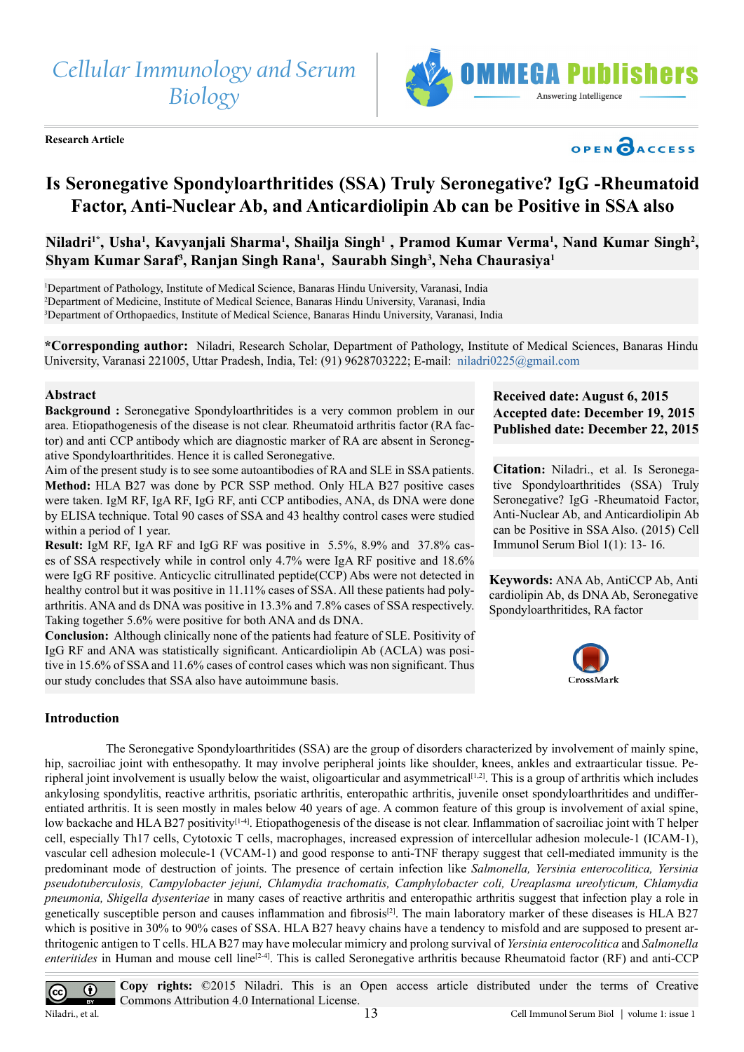*Cellular Immunology and Serum Biology*

**Research Article**



# OPEN CACCESS

# **Is Seronegative Spondyloarthritides (SSA) Truly Seronegative? IgG -Rheumatoid Factor, Anti-Nuclear Ab, and Anticardiolipin Ab can be Positive in SSA also**

Niladri<sup>1\*</sup>, Usha<sup>1</sup>, Kavyanjali Sharma<sup>1</sup>, Shailja Singh<sup>1</sup> , Pramod Kumar Verma<sup>1</sup>, Nand Kumar Singh<sup>2</sup>, **Shyam Kumar Saraf3 , Ranjan Singh Rana1 , Saurabh Singh3 , Neha Chaurasiya1**

1 Department of Pathology, Institute of Medical Science, Banaras Hindu University, Varanasi, India 2 Department of Medicine, Institute of Medical Science, Banaras Hindu University, Varanasi, India 3 Department of Orthopaedics, Institute of Medical Science, Banaras Hindu University, Varanasi, India

**\*Corresponding author:** Niladri, Research Scholar, Department of Pathology, Institute of Medical Sciences, Banaras Hindu University, Varanasi 221005, Uttar Pradesh, India, Tel: (91) 9628703222; E-mail: [niladri0225@gmail.com](mailto:niladri0225@gmail.com)

#### **Abstract**

**Background :** Seronegative Spondyloarthritides is a very common problem in our area. Etiopathogenesis of the disease is not clear. Rheumatoid arthritis factor (RA factor) and anti CCP antibody which are diagnostic marker of RA are absent in Seronegative Spondyloarthritides. Hence it is called Seronegative.

Aim of the present study is to see some autoantibodies of RA and SLE in SSA patients. **Method:** HLA B27 was done by PCR SSP method. Only HLA B27 positive cases were taken. IgM RF, IgA RF, IgG RF, anti CCP antibodies, ANA, ds DNA were done by ELISA technique. Total 90 cases of SSA and 43 healthy control cases were studied within a period of 1 year.

**Result:** IgM RF, IgA RF and IgG RF was positive in 5.5%, 8.9% and 37.8% cases of SSA respectively while in control only 4.7% were IgA RF positive and 18.6% were IgG RF positive. Anticyclic citrullinated peptide(CCP) Abs were not detected in healthy control but it was positive in 11.11% cases of SSA. All these patients had polyarthritis. ANA and ds DNA was positive in 13.3% and 7.8% cases of SSA respectively. Taking together 5.6% were positive for both ANA and ds DNA.

**Conclusion:** Although clinically none of the patients had feature of SLE. Positivity of IgG RF and ANA was statistically significant. Anticardiolipin Ab (ACLA) was positive in 15.6% of SSA and 11.6% cases of control cases which was non significant. Thus our study concludes that SSA also have autoimmune basis.

# **Received date: August 6, 2015 Accepted date: December 19, 2015 Published date: December 22, 2015**

**Citation:** Niladri., et al. Is Seronegative Spondyloarthritides (SSA) Truly Seronegative? IgG -Rheumatoid Factor, Anti-Nuclear Ab, and Anticardiolipin Ab can be Positive in SSA Also. (2015) Cell Immunol Serum Biol 1(1): 13- 16.

**Keywords:** ANA Ab, AntiCCP Ab, Anti cardiolipin Ab, ds DNA Ab, Seronegative Spondyloarthritides, RA factor



#### **Introduction**

 The Seronegative Spondyloarthritides (SSA) are the group of disorders characterized by involvement of mainly spine, hip, sacroiliac joint with enthesopathy. It may involve peripheral joints like shoulder, knees, ankles and extraarticular tissue. Peripheral joint involvement is usually below the waist, oligoarticular and asymmetrical<sup>[1,2]</sup>. This is a group of arthritis which includes ankylosing spondylitis, reactive arthritis, psoriatic arthritis, enteropathic arthritis, juvenile onset spondyloarthritides and undifferentiated arthritis. It is seen mostly in males below 40 years of age. A common feature of this group is involvement of axial spine, low backache and HLA B27 positivity<sup>[14]</sup>. Etiopathogenesis of the disease is not clear. Inflammation of sacroiliac joint with T helper cell, especially Th17 cells, Cytotoxic T cells, macrophages, increased expression of intercellular adhesion molecule-1 (ICAM-1), vascular cell adhesion molecule-1 (VCAM-1) and good response to anti-TNF therapy suggest that cell-mediated immunity is the predominant mode of destruction of joints. The presence of certain infection like *Salmonella, Yersinia enterocolitica, Yersinia pseudotuberculosis, Campylobacter jejuni, Chlamydia trachomatis, Camphylobacter coli, Ureaplasma ureolyticum, Chlamydia pneumonia, Shigella dysenteriae* in many cases of reactive arthritis and enteropathic arthritis suggest that infection play a role in genetically susceptible person and causes inflammation and fibrosis<sup>[\[2\]](#page-2-1)</sup>. The main laboratory marker of these diseases is HLA B27 which is positive in 30% to 90% cases of SSA. HLA B27 heavy chains have a tendency to misfold and are supposed to present arthritogenic antigen to T cells. HLA B27 may have molecular mimicry and prolong survival of *Yersinia enterocolitica* and *Salmonella enteritides* in Human and mouse cell line<sup>[2-4]</sup>. This is called Seronegative arthritis because Rheumatoid factor (RF) and anti-CCP

**Copy rights:** ©2015 Niladri. This is an Open access article distributed under the terms of Creative  $\bigcirc$  $\overline{(\text{cc})}$ Commons Attribution 4.0 International License. Niladri., et al. 13 Cell Immunol Serum Biol | volume 1: issue 1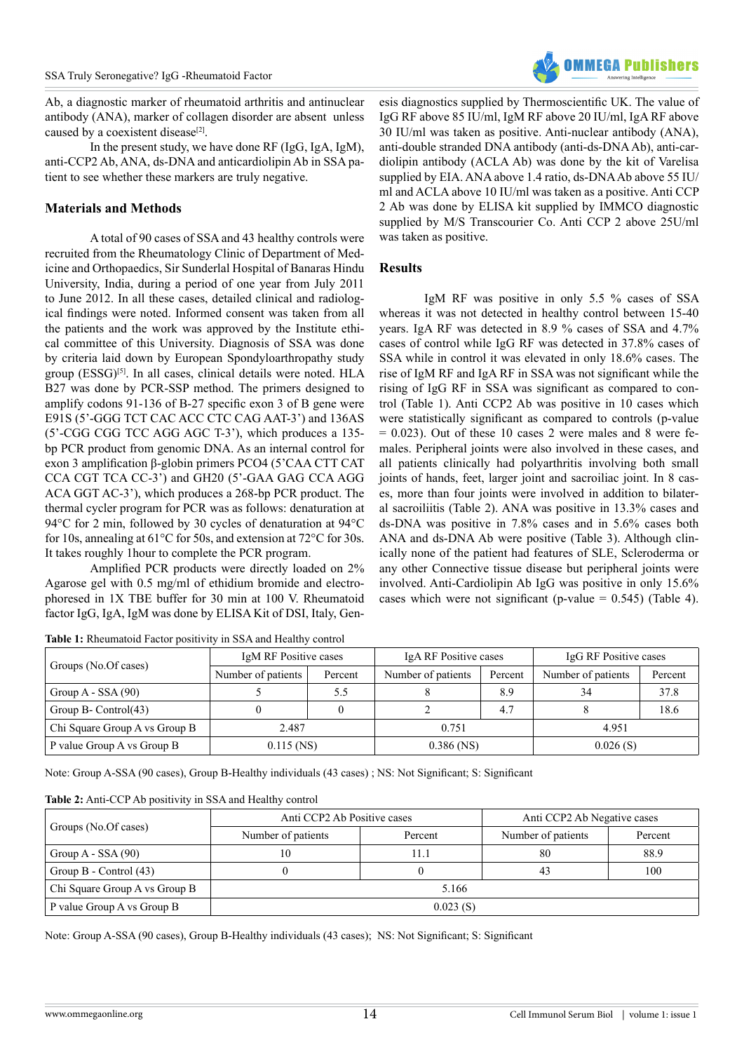Ab, a diagnostic marker of rheumatoid arthritis and antinuclear antibody (ANA), marker of collagen disorder are absent unless caused by a coexistent disease<sup>[2]</sup>.

In the present study, we have done RF (IgG, IgA, IgM), anti-CCP2 Ab, ANA, ds-DNA and anticardiolipin Ab in SSA patient to see whether these markers are truly negative.

# **Materials and Methods**

A total of 90 cases of SSA and 43 healthy controls were recruited from the Rheumatology Clinic of Department of Medicine and Orthopaedics, Sir Sunderlal Hospital of Banaras Hindu University, India, during a period of one year from July 2011 to June 2012. In all these cases, detailed clinical and radiological findings were noted. Informed consent was taken from all the patients and the work was approved by the Institute ethical committee of this University. Diagnosis of SSA was done by criteria laid down by European Spondyloarthropathy study group (ESSG)<sup>[5]</sup>. In all cases, clinical details were noted. HLA B27 was done by PCR-SSP method. The primers designed to amplify codons 91-136 of B-27 specific exon 3 of B gene were E91S (5'-GGG TCT CAC ACC CTC CAG AAT-3') and 136AS (5'-CGG CGG TCC AGG AGC T-3'), which produces a 135 bp PCR product from genomic DNA. As an internal control for exon 3 amplification β-globin primers PCO4 (5'CAA CTT CAT CCA CGT TCA CC-3') and GH20 (5'-GAA GAG CCA AGG ACA GGT AC-3'), which produces a 268-bp PCR product. The thermal cycler program for PCR was as follows: denaturation at 94°C for 2 min, followed by 30 cycles of denaturation at 94°C for 10s, annealing at 61°C for 50s, and extension at 72°C for 30s. It takes roughly 1hour to complete the PCR program.

Amplified PCR products were directly loaded on 2% Agarose gel with 0.5 mg/ml of ethidium bromide and electrophoresed in 1X TBE buffer for 30 min at 100 V. Rheumatoid factor IgG, IgA, IgM was done by ELISA Kit of DSI, Italy, Gen-

**Table 1:** Rheumatoid Factor positivity in SSA and Healthy control

esis diagnostics supplied by Thermoscientific UK. The value of IgG RF above 85 IU/ml, IgM RF above 20 IU/ml, IgA RF above 30 IU/ml was taken as positive. Anti-nuclear antibody (ANA), anti-double stranded DNA antibody (anti-ds-DNA Ab), anti-cardiolipin antibody (ACLA Ab) was done by the kit of Varelisa supplied by EIA. ANA above 1.4 ratio, ds-DNA Ab above 55 IU/ ml and ACLA above 10 IU/ml was taken as a positive. Anti CCP 2 Ab was done by ELISA kit supplied by IMMCO diagnostic supplied by M/S Transcourier Co. Anti CCP 2 above 25U/ml was taken as positive.

## **Results**

IgM RF was positive in only 5.5 % cases of SSA whereas it was not detected in healthy control between 15-40 years. IgA RF was detected in 8.9 % cases of SSA and 4.7% cases of control while IgG RF was detected in 37.8% cases of SSA while in control it was elevated in only 18.6% cases. The rise of IgM RF and IgA RF in SSA was not significant while the rising of IgG RF in SSA was significant as compared to control (Table 1). Anti CCP2 Ab was positive in 10 cases which were statistically significant as compared to controls (p-value  $= 0.023$ ). Out of these 10 cases 2 were males and 8 were females. Peripheral joints were also involved in these cases, and all patients clinically had polyarthritis involving both small joints of hands, feet, larger joint and sacroiliac joint. In 8 cases, more than four joints were involved in addition to bilateral sacroiliitis (Table 2). ANA was positive in 13.3% cases and ds-DNA was positive in 7.8% cases and in 5.6% cases both ANA and ds-DNA Ab were positive (Table 3). Although clinically none of the patient had features of SLE, Scleroderma or any other Connective tissue disease but peripheral joints were involved. Anti-Cardiolipin Ab IgG was positive in only 15.6% cases which were not significant (p-value  $= 0.545$ ) (Table 4).

|                               | IgM RF Positive cases |         | IgA RF Positive cases |         | IgG RF Positive cases |         |
|-------------------------------|-----------------------|---------|-----------------------|---------|-----------------------|---------|
| Groups (No.Of cases)          | Number of patients    | Percent | Number of patients    | Percent | Number of patients    | Percent |
| Group $A - SSA(90)$           |                       | 5.5     |                       | 8.9     | 34                    | 37.8    |
| Group B- Control $(43)$       |                       |         |                       | 4.7     |                       | 18.6    |
| Chi Square Group A vs Group B | 2.487                 |         | 0.751                 |         | 4.951                 |         |
| P value Group A vs Group B    | $0.115$ (NS)          |         | $0.386$ (NS)          |         | 0.026(S)              |         |

Note: Group A-SSA (90 cases), Group B-Healthy individuals (43 cases) ; NS: Not Significant; S: Significant

| Table 2: Anti-CCP Ab positivity in SSA and Healthy control |  |  |
|------------------------------------------------------------|--|--|
|------------------------------------------------------------|--|--|

|                               | Anti CCP2 Ab Positive cases |         | Anti CCP2 Ab Negative cases |         |  |
|-------------------------------|-----------------------------|---------|-----------------------------|---------|--|
| Groups (No.Of cases)          | Number of patients          | Percent | Number of patients          | Percent |  |
| Group $A - SSA(90)$           |                             | 11.1    | 80                          | 88.9    |  |
| Group $B$ - Control $(43)$    |                             |         | 43                          | 100     |  |
| Chi Square Group A vs Group B | 5.166                       |         |                             |         |  |
| P value Group A vs Group B    | 0.023(S)                    |         |                             |         |  |

Note: Group A-SSA (90 cases), Group B-Healthy individuals (43 cases); NS: Not Significant; S: Significant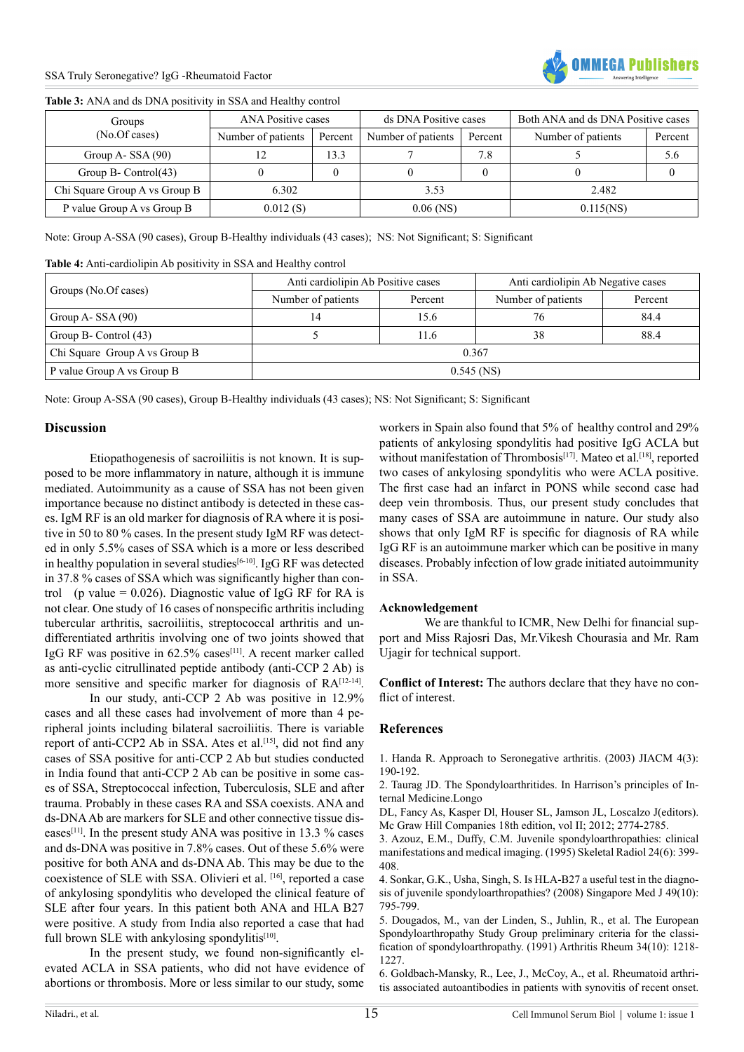

#### **Table 3:** ANA and ds DNA positivity in SSA and Healthy control

| Groups                        | <b>ANA Positive cases</b> |         | ds DNA Positive cases |         | Both ANA and ds DNA Positive cases |         |
|-------------------------------|---------------------------|---------|-----------------------|---------|------------------------------------|---------|
| (No.Of cases)                 | Number of patients        | Percent | Number of patients    | Percent | Number of patients                 | Percent |
| Group A- $SSA(90)$            |                           | 13.3    |                       | 7.8     |                                    | 5.6     |
| Group B- Control $(43)$       |                           |         |                       |         |                                    |         |
| Chi Square Group A vs Group B | 6.302                     |         | 3.53                  |         | 2.482                              |         |
| P value Group A vs Group B    | 0.012(S)                  |         | $0.06$ (NS)           |         | $0.115$ (NS)                       |         |

Note: Group A-SSA (90 cases), Group B-Healthy individuals (43 cases); NS: Not Significant; S: Significant

**Table 4:** Anti-cardiolipin Ab positivity in SSA and Healthy control

|                               | Anti cardiolipin Ab Positive cases |         | Anti cardiolipin Ab Negative cases |         |  |
|-------------------------------|------------------------------------|---------|------------------------------------|---------|--|
| Groups (No.Of cases)          | Number of patients                 | Percent | Number of patients                 | Percent |  |
| Group A- $SSA(90)$            | $\overline{4}$                     | 15.6    | 76                                 | 84.4    |  |
| Group B- Control (43)         |                                    | 11.6    | 38                                 | 88.4    |  |
| Chi Square Group A vs Group B | 0.367                              |         |                                    |         |  |
| P value Group A vs Group B    | $0.545$ (NS)                       |         |                                    |         |  |

Note: Group A-SSA (90 cases), Group B-Healthy individuals (43 cases); NS: Not Significant; S: Significant

#### **Discussion**

Etiopathogenesis of sacroiliitis is not known. It is supposed to be more inflammatory in nature, although it is immune mediated. Autoimmunity as a cause of SSA has not been given importance because no distinct antibody is detected in these cases. IgM RF is an old marker for diagnosis of RA where it is positive in 50 to 80 % cases. In the present study IgM RF was detected in only 5.5% cases of SSA which is a more or less described in healthy population in several studies<sup>[\[6-10\]](#page-2-3)</sup>. IgG RF was detected in 37.8 % cases of SSA which was significantly higher than control (p value =  $0.026$ ). Diagnostic value of IgG RF for RA is not clear. One study of 16 cases of nonspecific arthritis including tubercular arthritis, sacroiliitis, streptococcal arthritis and undifferentiated arthritis involving one of two joints showed that IgG RF was positive in  $62.5\%$  cases<sup>[11]</sup>. A recent marker called as anti-cyclic citrullinated peptide antibody (anti-CCP 2 Ab) is more sensitive and specific marker for diagnosis of  $RA^{[12-14]}$ .

In our study, anti-CCP 2 Ab was positive in 12.9% cases and all these cases had involvement of more than 4 peripheral joints including bilateral sacroiliitis. There is variable report of anti-CCP2 Ab in SSA. Ates et al.<sup>[\[15\]](#page-3-2)</sup>, did not find any cases of SSA positive for anti-CCP 2 Ab but studies conducted in India found that anti-CCP 2 Ab can be positive in some cases of SSA, Streptococcal infection, Tuberculosis, SLE and after trauma. Probably in these cases RA and SSA coexists. ANA and ds-DNA Ab are markers for SLE and other connective tissue dis-eases<sup>[\[11\]](#page-3-0)</sup>. In the present study ANA was positive in 13.3 % cases and ds-DNA was positive in 7.8% cases. Out of these 5.6% were positive for both ANA and ds-DNA Ab. This may be due to the coexistence of SLE with SSA. Olivieri et al. [\[16\]](#page-3-3), reported a case of ankylosing spondylitis who developed the clinical feature of SLE after four years. In this patient both ANA and HLA B27 were positive. A study from India also reported a case that had full brown SLE with ankylosing spondylitis<sup>[10]</sup>.

In the present study, we found non-significantly elevated ACLA in SSA patients, who did not have evidence of abortions or thrombosis. More or less similar to our study, some

workers in Spain also found that 5% of healthy control and 29% patients of ankylosing spondylitis had positive IgG ACLA but without manifestation of Thrombosis<sup>[\[17\]](#page-3-5)</sup>. Mateo et al.<sup>[\[18\]](#page-3-6)</sup>, reported two cases of ankylosing spondylitis who were ACLA positive. The first case had an infarct in PONS while second case had deep vein thrombosis. Thus, our present study concludes that many cases of SSA are autoimmune in nature. Our study also shows that only IgM RF is specific for diagnosis of RA while IgG RF is an autoimmune marker which can be positive in many diseases. Probably infection of low grade initiated autoimmunity in SSA.

#### **Acknowledgement**

We are thankful to ICMR, New Delhi for financial support and Miss Rajosri Das, Mr.Vikesh Chourasia and Mr. Ram Ujagir for technical support.

**Conflict of Interest:** The authors declare that they have no conflict of interest.

## **References**

<span id="page-2-0"></span>[1. Handa R. Approach to Seronegative arthritis. \(2003\) JIACM 4\(3\):](http://medind.nic.in/jac/t03/i3/jact03i3p190.pdfhttp://) [190-192.](http://medind.nic.in/jac/t03/i3/jact03i3p190.pdfhttp://)

<span id="page-2-1"></span>2. Taurag JD. The Spondyloarthritides. In Harrison's principles of Internal Medicine.Longo

DL, Fancy As, Kasper Dl, Houser SL, Jamson JL, Loscalzo J(editors). Mc Graw Hill Companies 18th edition, vol II; 2012; 2774-2785.

[3. Azouz, E.M., Duffy, C.M. Juvenile spondyloarthropathies: clinical](http://www.ncbi.nlm.nih.gov/pubmed/7481895) [manifestations and medical imaging. \(1995\) Skeletal Radiol 24\(6\): 399-](http://www.ncbi.nlm.nih.gov/pubmed/7481895) [408.](http://www.ncbi.nlm.nih.gov/pubmed/7481895)

[4. Sonkar, G.K., Usha, Singh, S. Is HLA-B27 a useful test in the diagno](http://www.ncbi.nlm.nih.gov/pubmed/18946613)[sis of juvenile spondyloarthropathies? \(2008\) Singapore Med J 49\(10\):](http://www.ncbi.nlm.nih.gov/pubmed/18946613) [795-799.](http://www.ncbi.nlm.nih.gov/pubmed/18946613)

<span id="page-2-2"></span>[5. Dougados, M., van der Linden, S., Juhlin, R., et al. The European](http://www.ncbi.nlm.nih.gov/pubmed/1930310http://) [Spondyloarthropathy Study Group preliminary criteria for the classi](http://www.ncbi.nlm.nih.gov/pubmed/1930310http://)[fication of spondyloarthropathy. \(1991\) Arthritis Rheum 34\(10\): 1218-](http://www.ncbi.nlm.nih.gov/pubmed/1930310http://) [1227.](http://www.ncbi.nlm.nih.gov/pubmed/1930310http://)

<span id="page-2-3"></span>[6. Goldbach-Mansky, R., Lee, J., McCoy, A., et al. Rheumatoid arthri](http://www.ncbi.nlm.nih.gov/pmc/articles/PMC17811/)[tis associated autoantibodies in patients with synovitis of recent onset.](http://www.ncbi.nlm.nih.gov/pmc/articles/PMC17811/)